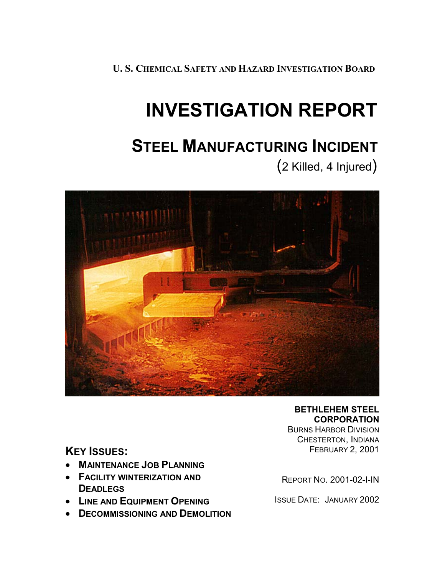**U. S. CHEMICAL SAFETY AND HAZARD INVESTIGATION BOARD**

# **INVESTIGATION REPORT**

## **STEEL MANUFACTURING INCIDENT**

(2 Killed, 4 Injured)



**BETHLEHEM STEEL CORPORATION**

BURNS HARBOR DIVISION CHESTERTON, INDIANA FEBRUARY 2, 2001

**KEY ISSUES:** 

- **MAINTENANCE JOB PLANNING**
- **FACILITY WINTERIZATION AND DEADLEGS**
- **LINE AND EQUIPMENT OPENING**
- **DECOMMISSIONING AND DEMOLITION**

REPORT NO. 2001-02-I-IN

ISSUE DATE: JANUARY 2002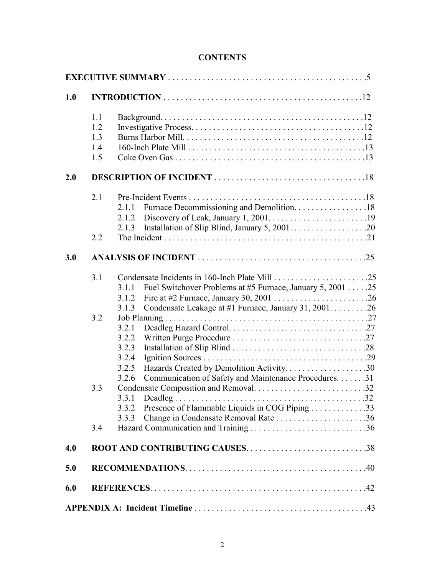#### **CONTENTS**

| 1.0 |                                 |                                                                                                                                                 |  |  |  |
|-----|---------------------------------|-------------------------------------------------------------------------------------------------------------------------------------------------|--|--|--|
|     | 1.1<br>1.2<br>1.3<br>1.4<br>1.5 |                                                                                                                                                 |  |  |  |
| 2.0 |                                 |                                                                                                                                                 |  |  |  |
|     | 2.1                             | Furnace Decommissioning and Demolition. 18<br>2.1.1<br>2.1.2<br>2.1.3                                                                           |  |  |  |
|     | 2.2                             |                                                                                                                                                 |  |  |  |
| 3.0 |                                 |                                                                                                                                                 |  |  |  |
|     | 3.1                             | Fuel Switchover Problems at #5 Furnace, January 5, 2001 25<br>3.1.1<br>3.1.2<br>Condensate Leakage at #1 Furnace, January 31, 2001. 26<br>3.1.3 |  |  |  |
|     | 3.2                             | 3.2.1<br>3.2.2<br>3.2.3<br>3.2.4<br>Hazards Created by Demolition Activity30<br>3.2.5                                                           |  |  |  |
|     | 3.3                             | Communication of Safety and Maintenance Procedures. 31<br>3.2.6<br>3.3.1<br>Presence of Flammable Liquids in COG Piping 33<br>3.3.2<br>3.3.3    |  |  |  |
|     | 3.4                             |                                                                                                                                                 |  |  |  |
| 4.0 |                                 |                                                                                                                                                 |  |  |  |
| 5.0 |                                 |                                                                                                                                                 |  |  |  |
| 6.0 |                                 |                                                                                                                                                 |  |  |  |
|     |                                 |                                                                                                                                                 |  |  |  |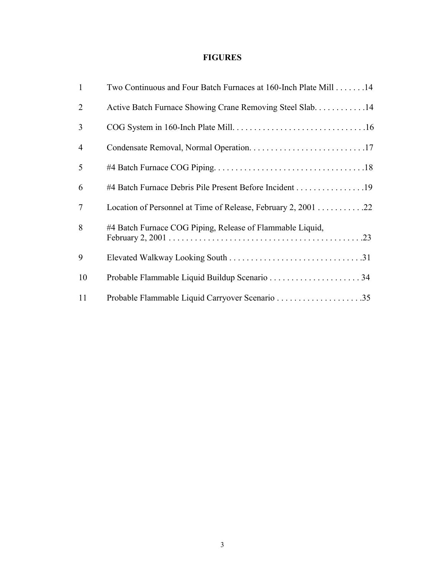### **FIGURES**

| 1              | Two Continuous and Four Batch Furnaces at 160-Inch Plate Mill 14 |
|----------------|------------------------------------------------------------------|
| $\overline{2}$ | Active Batch Furnace Showing Crane Removing Steel Slab14         |
| 3              |                                                                  |
| $\overline{4}$ |                                                                  |
| 5              |                                                                  |
| 6              | #4 Batch Furnace Debris Pile Present Before Incident 19          |
| $\overline{7}$ | Location of Personnel at Time of Release, February 2, 2001 22    |
| 8              | #4 Batch Furnace COG Piping, Release of Flammable Liquid,        |
| 9              |                                                                  |
| 10             |                                                                  |
| 11             |                                                                  |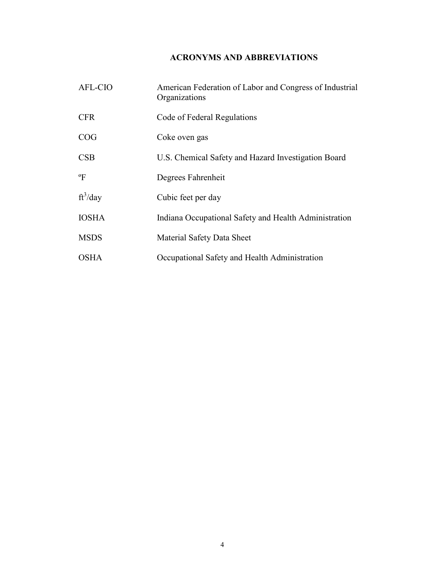## **ACRONYMS AND ABBREVIATIONS**

| <b>AFL-CIO</b> | American Federation of Labor and Congress of Industrial<br>Organizations |
|----------------|--------------------------------------------------------------------------|
| <b>CFR</b>     | Code of Federal Regulations                                              |
| COG            | Coke oven gas                                                            |
| CSB            | U.S. Chemical Safety and Hazard Investigation Board                      |
| $\mathrm{P}$   | Degrees Fahrenheit                                                       |
| $ft^3$ /day    | Cubic feet per day                                                       |
| <b>IOSHA</b>   | Indiana Occupational Safety and Health Administration                    |
| <b>MSDS</b>    | Material Safety Data Sheet                                               |
| OSHA           | Occupational Safety and Health Administration                            |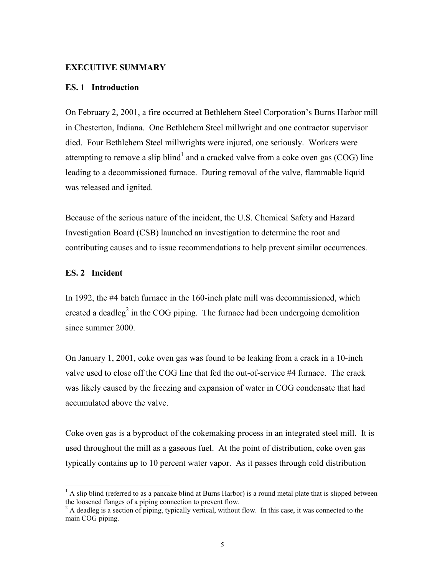#### **EXECUTIVE SUMMARY**

#### **ES. 1 Introduction**

On February 2, 2001, a fire occurred at Bethlehem Steel Corporation's Burns Harbor mill in Chesterton, Indiana. One Bethlehem Steel millwright and one contractor supervisor died. Four Bethlehem Steel millwrights were injured, one seriously. Workers were attempting to remove a slip blind<sup>1</sup> and a cracked valve from a coke oven gas (COG) line leading to a decommissioned furnace. During removal of the valve, flammable liquid was released and ignited.

Because of the serious nature of the incident, the U.S. Chemical Safety and Hazard Investigation Board (CSB) launched an investigation to determine the root and contributing causes and to issue recommendations to help prevent similar occurrences.

#### **ES. 2 Incident**

l

In 1992, the #4 batch furnace in the 160-inch plate mill was decommissioned, which created a deadleg<sup>2</sup> in the COG piping. The furnace had been undergoing demolition since summer 2000.

On January 1, 2001, coke oven gas was found to be leaking from a crack in a 10-inch valve used to close off the COG line that fed the out-of-service #4 furnace. The crack was likely caused by the freezing and expansion of water in COG condensate that had accumulated above the valve.

Coke oven gas is a byproduct of the cokemaking process in an integrated steel mill. It is used throughout the mill as a gaseous fuel. At the point of distribution, coke oven gas typically contains up to 10 percent water vapor. As it passes through cold distribution

 $<sup>1</sup>$  A slip blind (referred to as a pancake blind at Burns Harbor) is a round metal plate that is slipped between</sup> the loosened flanges of a piping connection to prevent flow.<br><sup>2</sup> A deadleg is a section of piping, typically vertical, without flow. In this case, it was connected to the

main COG piping.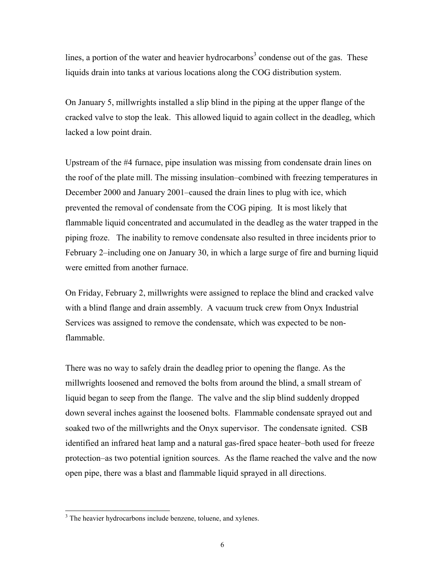lines, a portion of the water and heavier hydrocarbons<sup>3</sup> condense out of the gas. These liquids drain into tanks at various locations along the COG distribution system.

On January 5, millwrights installed a slip blind in the piping at the upper flange of the cracked valve to stop the leak. This allowed liquid to again collect in the deadleg, which lacked a low point drain.

Upstream of the #4 furnace, pipe insulation was missing from condensate drain lines on the roof of the plate mill. The missing insulation–combined with freezing temperatures in December 2000 and January 2001–caused the drain lines to plug with ice, which prevented the removal of condensate from the COG piping. It is most likely that flammable liquid concentrated and accumulated in the deadleg as the water trapped in the piping froze. The inability to remove condensate also resulted in three incidents prior to February 2–including one on January 30, in which a large surge of fire and burning liquid were emitted from another furnace.

On Friday, February 2, millwrights were assigned to replace the blind and cracked valve with a blind flange and drain assembly. A vacuum truck crew from Onyx Industrial Services was assigned to remove the condensate, which was expected to be nonflammable.

There was no way to safely drain the deadleg prior to opening the flange. As the millwrights loosened and removed the bolts from around the blind, a small stream of liquid began to seep from the flange. The valve and the slip blind suddenly dropped down several inches against the loosened bolts. Flammable condensate sprayed out and soaked two of the millwrights and the Onyx supervisor. The condensate ignited. CSB identified an infrared heat lamp and a natural gas-fired space heater–both used for freeze protection–as two potential ignition sources. As the flame reached the valve and the now open pipe, there was a blast and flammable liquid sprayed in all directions.

 $\overline{a}$ 

<sup>&</sup>lt;sup>3</sup> The heavier hydrocarbons include benzene, toluene, and xylenes.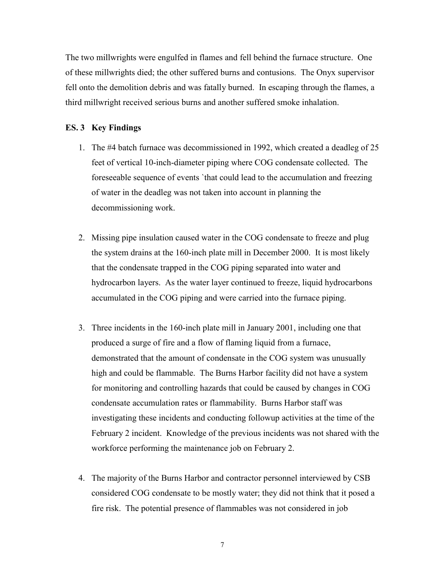The two millwrights were engulfed in flames and fell behind the furnace structure. One of these millwrights died; the other suffered burns and contusions. The Onyx supervisor fell onto the demolition debris and was fatally burned. In escaping through the flames, a third millwright received serious burns and another suffered smoke inhalation.

#### **ES. 3 Key Findings**

- 1. The #4 batch furnace was decommissioned in 1992, which created a deadleg of 25 feet of vertical 10-inch-diameter piping where COG condensate collected. The foreseeable sequence of events `that could lead to the accumulation and freezing of water in the deadleg was not taken into account in planning the decommissioning work.
- 2. Missing pipe insulation caused water in the COG condensate to freeze and plug the system drains at the 160-inch plate mill in December 2000. It is most likely that the condensate trapped in the COG piping separated into water and hydrocarbon layers. As the water layer continued to freeze, liquid hydrocarbons accumulated in the COG piping and were carried into the furnace piping.
- 3. Three incidents in the 160-inch plate mill in January 2001, including one that produced a surge of fire and a flow of flaming liquid from a furnace, demonstrated that the amount of condensate in the COG system was unusually high and could be flammable. The Burns Harbor facility did not have a system for monitoring and controlling hazards that could be caused by changes in COG condensate accumulation rates or flammability. Burns Harbor staff was investigating these incidents and conducting followup activities at the time of the February 2 incident. Knowledge of the previous incidents was not shared with the workforce performing the maintenance job on February 2.
- 4. The majority of the Burns Harbor and contractor personnel interviewed by CSB considered COG condensate to be mostly water; they did not think that it posed a fire risk. The potential presence of flammables was not considered in job

7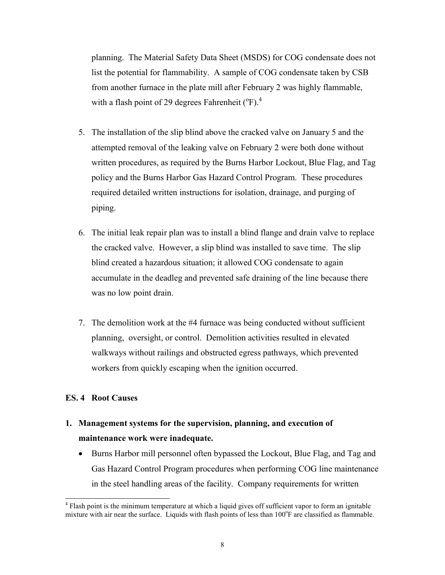planning. The Material Safety Data Sheet (MSDS) for COG condensate does not list the potential for flammability. A sample of COG condensate taken by CSB from another furnace in the plate mill after February 2 was highly flammable, with a flash point of 29 degrees Fahrenheit  $(^{\circ}F)^{4}$ 

- 5. The installation of the slip blind above the cracked valve on January 5 and the attempted removal of the leaking valve on February 2 were both done without written procedures, as required by the Burns Harbor Lockout, Blue Flag, and Tag policy and the Burns Harbor Gas Hazard Control Program. These procedures required detailed written instructions for isolation, drainage, and purging of piping.
- 6. The initial leak repair plan was to install a blind flange and drain valve to replace the cracked valve. However, a slip blind was installed to save time. The slip blind created a hazardous situation; it allowed COG condensate to again accumulate in the deadleg and prevented safe draining of the line because there was no low point drain.
- 7. The demolition work at the #4 furnace was being conducted without sufficient planning, oversight, or control. Demolition activities resulted in elevated walkways without railings and obstructed egress pathways, which prevented workers from quickly escaping when the ignition occurred.

#### **ES. 4 Root Causes**

 $\overline{a}$ 

## **1. Management systems for the supervision, planning, and execution of maintenance work were inadequate.**

- Burns Harbor mill personnel often bypassed the Lockout, Blue Flag, and Tag and Gas Hazard Control Program procedures when performing COG line maintenance in the steel handling areas of the facility. Company requirements for written

<sup>&</sup>lt;sup>4</sup> Flash point is the minimum temperature at which a liquid gives off sufficient vapor to form an ignitable mixture with air near the surface. Liquids with flash points of less than 100°F are classified as flammable.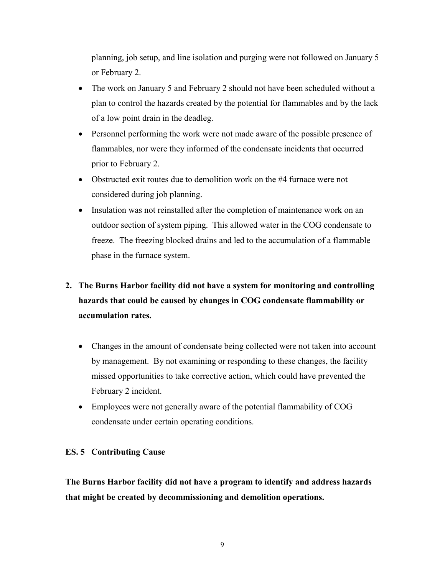planning, job setup, and line isolation and purging were not followed on January 5 or February 2.

- The work on January 5 and February 2 should not have been scheduled without a plan to control the hazards created by the potential for flammables and by the lack of a low point drain in the deadleg.
- Personnel performing the work were not made aware of the possible presence of flammables, nor were they informed of the condensate incidents that occurred prior to February 2.
- Obstructed exit routes due to demolition work on the #4 furnace were not considered during job planning.
- Insulation was not reinstalled after the completion of maintenance work on an outdoor section of system piping. This allowed water in the COG condensate to freeze. The freezing blocked drains and led to the accumulation of a flammable phase in the furnace system.

## **2. The Burns Harbor facility did not have a system for monitoring and controlling hazards that could be caused by changes in COG condensate flammability or accumulation rates.**

- Changes in the amount of condensate being collected were not taken into account by management. By not examining or responding to these changes, the facility missed opportunities to take corrective action, which could have prevented the February 2 incident.
- Employees were not generally aware of the potential flammability of COG condensate under certain operating conditions.

#### **ES. 5 Contributing Cause**

l

**The Burns Harbor facility did not have a program to identify and address hazards that might be created by decommissioning and demolition operations.**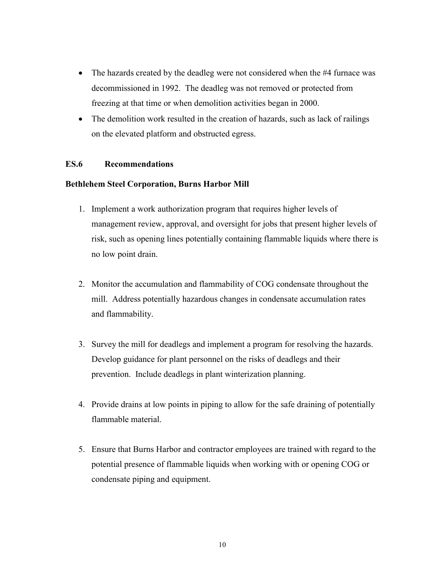- The hazards created by the deadleg were not considered when the #4 furnace was decommissioned in 1992. The deadleg was not removed or protected from freezing at that time or when demolition activities began in 2000.
- The demolition work resulted in the creation of hazards, such as lack of railings on the elevated platform and obstructed egress.

#### **ES.6 Recommendations**

#### **Bethlehem Steel Corporation, Burns Harbor Mill**

- 1. Implement a work authorization program that requires higher levels of management review, approval, and oversight for jobs that present higher levels of risk, such as opening lines potentially containing flammable liquids where there is no low point drain.
- 2. Monitor the accumulation and flammability of COG condensate throughout the mill. Address potentially hazardous changes in condensate accumulation rates and flammability.
- 3. Survey the mill for deadlegs and implement a program for resolving the hazards. Develop guidance for plant personnel on the risks of deadlegs and their prevention. Include deadlegs in plant winterization planning.
- 4. Provide drains at low points in piping to allow for the safe draining of potentially flammable material.
- 5. Ensure that Burns Harbor and contractor employees are trained with regard to the potential presence of flammable liquids when working with or opening COG or condensate piping and equipment.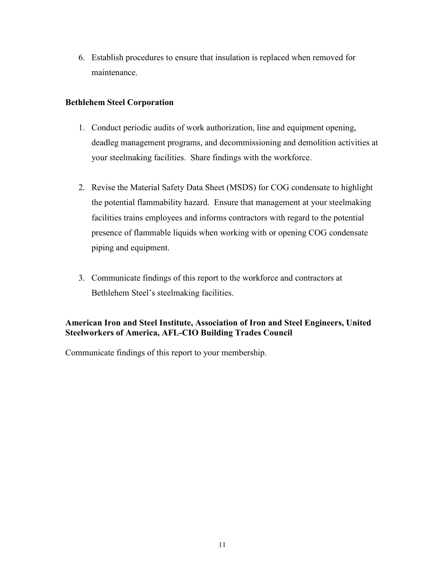6. Establish procedures to ensure that insulation is replaced when removed for maintenance.

#### **Bethlehem Steel Corporation**

- 1. Conduct periodic audits of work authorization, line and equipment opening, deadleg management programs, and decommissioning and demolition activities at your steelmaking facilities. Share findings with the workforce.
- 2. Revise the Material Safety Data Sheet (MSDS) for COG condensate to highlight the potential flammability hazard. Ensure that management at your steelmaking facilities trains employees and informs contractors with regard to the potential presence of flammable liquids when working with or opening COG condensate piping and equipment.
- 3. Communicate findings of this report to the workforce and contractors at Bethlehem Steel's steelmaking facilities.

#### **American Iron and Steel Institute, Association of Iron and Steel Engineers, United Steelworkers of America, AFL-CIO Building Trades Council**

Communicate findings of this report to your membership.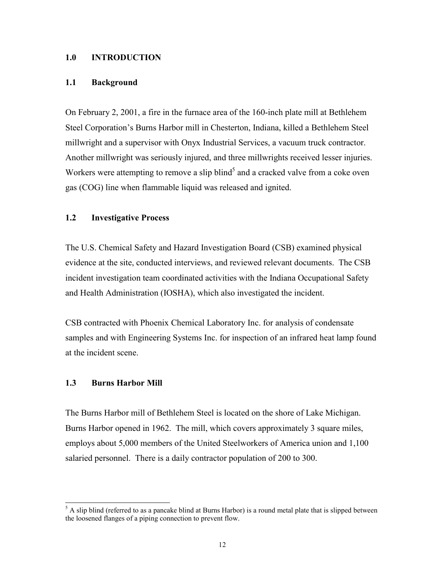#### **1.0 INTRODUCTION**

#### **1.1 Background**

On February 2, 2001, a fire in the furnace area of the 160-inch plate mill at Bethlehem Steel Corporation's Burns Harbor mill in Chesterton, Indiana, killed a Bethlehem Steel millwright and a supervisor with Onyx Industrial Services, a vacuum truck contractor. Another millwright was seriously injured, and three millwrights received lesser injuries. Workers were attempting to remove a slip blind<sup>5</sup> and a cracked valve from a coke oven gas (COG) line when flammable liquid was released and ignited.

#### **1.2 Investigative Process**

The U.S. Chemical Safety and Hazard Investigation Board (CSB) examined physical evidence at the site, conducted interviews, and reviewed relevant documents. The CSB incident investigation team coordinated activities with the Indiana Occupational Safety and Health Administration (IOSHA), which also investigated the incident.

CSB contracted with Phoenix Chemical Laboratory Inc. for analysis of condensate samples and with Engineering Systems Inc. for inspection of an infrared heat lamp found at the incident scene.

#### **1.3 Burns Harbor Mill**

The Burns Harbor mill of Bethlehem Steel is located on the shore of Lake Michigan. Burns Harbor opened in 1962. The mill, which covers approximately 3 square miles, employs about 5,000 members of the United Steelworkers of America union and 1,100 salaried personnel. There is a daily contractor population of 200 to 300.

<sup>&</sup>lt;sup>5</sup> A slip blind (referred to as a pancake blind at Burns Harbor) is a round metal plate that is slipped between the loosened flanges of a piping connection to prevent flow.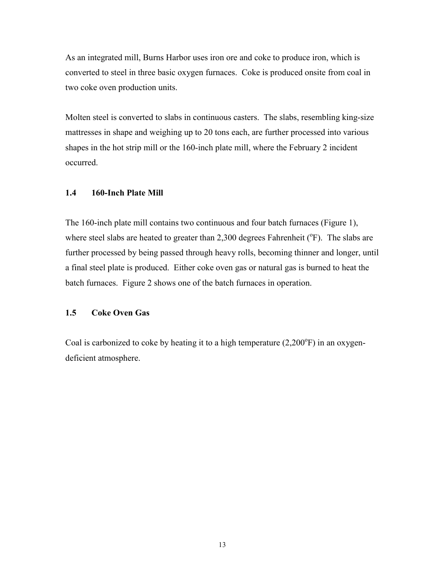As an integrated mill, Burns Harbor uses iron ore and coke to produce iron, which is converted to steel in three basic oxygen furnaces. Coke is produced onsite from coal in two coke oven production units.

Molten steel is converted to slabs in continuous casters. The slabs, resembling king-size mattresses in shape and weighing up to 20 tons each, are further processed into various shapes in the hot strip mill or the 160-inch plate mill, where the February 2 incident occurred.

#### **1.4 160-Inch Plate Mill**

The 160-inch plate mill contains two continuous and four batch furnaces (Figure 1), where steel slabs are heated to greater than 2,300 degrees Fahrenheit  $(^{\circ}F)$ . The slabs are further processed by being passed through heavy rolls, becoming thinner and longer, until a final steel plate is produced. Either coke oven gas or natural gas is burned to heat the batch furnaces. Figure 2 shows one of the batch furnaces in operation.

#### **1.5 Coke Oven Gas**

Coal is carbonized to coke by heating it to a high temperature  $(2,200^{\circ}F)$  in an oxygendeficient atmosphere.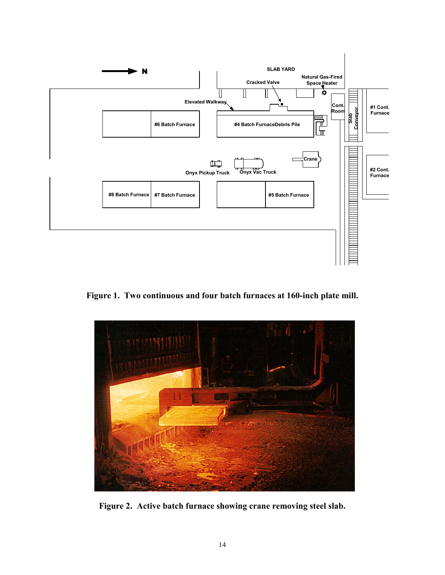

**Figure 1. Two continuous and four batch furnaces at 160-inch plate mill.** 



**Figure 2. Active batch furnace showing crane removing steel slab.**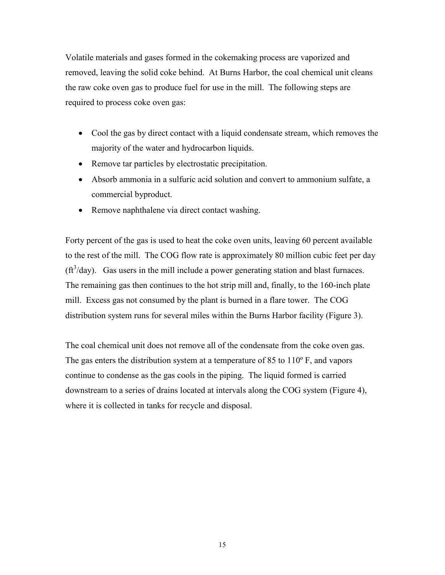Volatile materials and gases formed in the cokemaking process are vaporized and removed, leaving the solid coke behind. At Burns Harbor, the coal chemical unit cleans the raw coke oven gas to produce fuel for use in the mill. The following steps are required to process coke oven gas:

- Cool the gas by direct contact with a liquid condensate stream, which removes the majority of the water and hydrocarbon liquids.
- Remove tar particles by electrostatic precipitation.
- Absorb ammonia in a sulfuric acid solution and convert to ammonium sulfate, a commercial byproduct.
- Remove naphthalene via direct contact washing.

Forty percent of the gas is used to heat the coke oven units, leaving 60 percent available to the rest of the mill. The COG flow rate is approximately 80 million cubic feet per day  $(\text{ft}^3/\text{day})$ . Gas users in the mill include a power generating station and blast furnaces. The remaining gas then continues to the hot strip mill and, finally, to the 160-inch plate mill. Excess gas not consumed by the plant is burned in a flare tower. The COG distribution system runs for several miles within the Burns Harbor facility (Figure 3).

The coal chemical unit does not remove all of the condensate from the coke oven gas. The gas enters the distribution system at a temperature of 85 to 110º F, and vapors continue to condense as the gas cools in the piping. The liquid formed is carried downstream to a series of drains located at intervals along the COG system (Figure 4), where it is collected in tanks for recycle and disposal.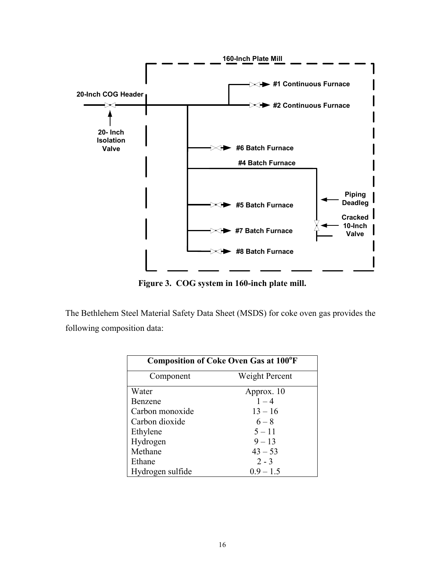

**Figure 3. COG system in 160-inch plate mill.** 

The Bethlehem Steel Material Safety Data Sheet (MSDS) for coke oven gas provides the following composition data:

| <b>Composition of Coke Oven Gas at 100°F</b> |                |  |  |  |
|----------------------------------------------|----------------|--|--|--|
| Component                                    | Weight Percent |  |  |  |
| Water                                        | Approx. 10     |  |  |  |
| Benzene                                      | $1 - 4$        |  |  |  |
| Carbon monoxide                              | $13 - 16$      |  |  |  |
| Carbon dioxide                               | $6 - 8$        |  |  |  |
| Ethylene                                     | $5 - 11$       |  |  |  |
| Hydrogen                                     | $9 - 13$       |  |  |  |
| Methane                                      | $43 - 53$      |  |  |  |
| Ethane                                       | $2 - 3$        |  |  |  |
| Hydrogen sulfide                             | $0.9 - 1.5$    |  |  |  |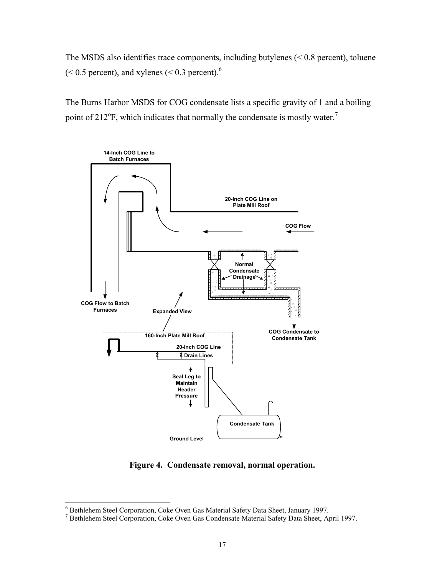The MSDS also identifies trace components, including butylenes  $( $0.8$  percent), toluene$  $(< 0.5$  percent), and xylenes  $(< 0.3$  percent).<sup>6</sup>

The Burns Harbor MSDS for COG condensate lists a specific gravity of 1 and a boiling point of 212 $\mathrm{P}$ , which indicates that normally the condensate is mostly water.<sup>7</sup>



**Figure 4. Condensate removal, normal operation.** 

 6 Bethlehem Steel Corporation, Coke Oven Gas Material Safety Data Sheet, January 1997.

<sup>7</sup> Bethlehem Steel Corporation, Coke Oven Gas Condensate Material Safety Data Sheet, April 1997.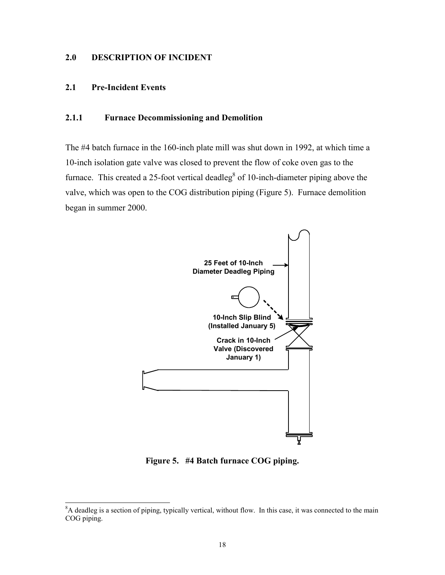#### **2.0 DESCRIPTION OF INCIDENT**

#### **2.1 Pre-Incident Events**

#### **2.1.1 Furnace Decommissioning and Demolition**

The #4 batch furnace in the 160-inch plate mill was shut down in 1992, at which time a 10-inch isolation gate valve was closed to prevent the flow of coke oven gas to the furnace. This created a 25-foot vertical deadleg<sup>8</sup> of 10-inch-diameter piping above the valve, which was open to the COG distribution piping (Figure 5). Furnace demolition began in summer 2000.



**Figure 5. #4 Batch furnace COG piping.**

<sup>&</sup>lt;sup>8</sup>A deadleg is a section of piping, typically vertical, without flow. In this case, it was connected to the main COG piping.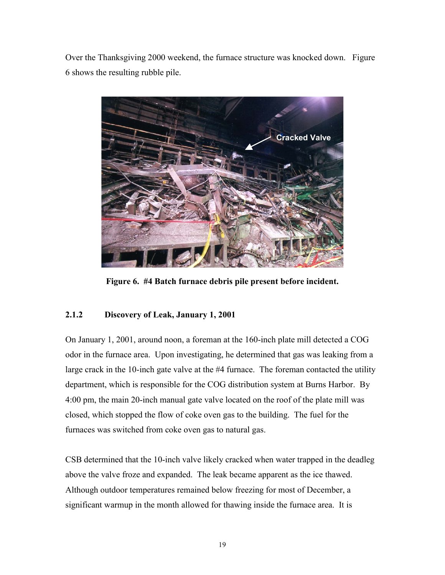Over the Thanksgiving 2000 weekend, the furnace structure was knocked down. Figure 6 shows the resulting rubble pile.



**Figure 6. #4 Batch furnace debris pile present before incident.** 

#### **2.1.2 Discovery of Leak, January 1, 2001**

On January 1, 2001, around noon, a foreman at the 160-inch plate mill detected a COG odor in the furnace area. Upon investigating, he determined that gas was leaking from a large crack in the 10-inch gate valve at the #4 furnace. The foreman contacted the utility department, which is responsible for the COG distribution system at Burns Harbor. By 4:00 pm, the main 20-inch manual gate valve located on the roof of the plate mill was closed, which stopped the flow of coke oven gas to the building. The fuel for the furnaces was switched from coke oven gas to natural gas.

CSB determined that the 10-inch valve likely cracked when water trapped in the deadleg above the valve froze and expanded. The leak became apparent as the ice thawed. Although outdoor temperatures remained below freezing for most of December, a significant warmup in the month allowed for thawing inside the furnace area. It is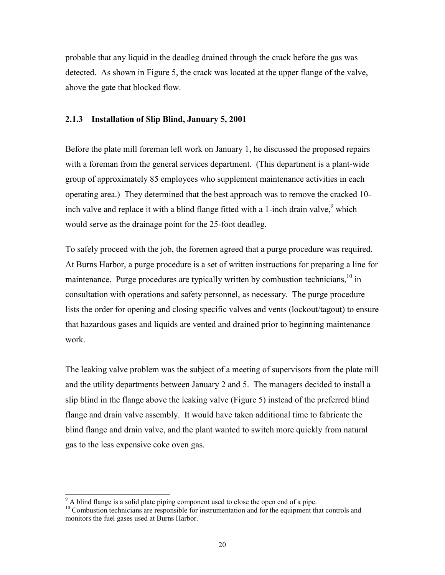probable that any liquid in the deadleg drained through the crack before the gas was detected. As shown in Figure 5, the crack was located at the upper flange of the valve, above the gate that blocked flow.

#### **2.1.3 Installation of Slip Blind, January 5, 2001**

Before the plate mill foreman left work on January 1, he discussed the proposed repairs with a foreman from the general services department. (This department is a plant-wide group of approximately 85 employees who supplement maintenance activities in each operating area.) They determined that the best approach was to remove the cracked 10 inch valve and replace it with a blind flange fitted with a 1-inch drain valve,  $9$  which would serve as the drainage point for the 25-foot deadleg.

To safely proceed with the job, the foremen agreed that a purge procedure was required. At Burns Harbor, a purge procedure is a set of written instructions for preparing a line for maintenance. Purge procedures are typically written by combustion technicians,  $\frac{10}{10}$  in consultation with operations and safety personnel, as necessary. The purge procedure lists the order for opening and closing specific valves and vents (lockout/tagout) to ensure that hazardous gases and liquids are vented and drained prior to beginning maintenance work.

The leaking valve problem was the subject of a meeting of supervisors from the plate mill and the utility departments between January 2 and 5. The managers decided to install a slip blind in the flange above the leaking valve (Figure 5) instead of the preferred blind flange and drain valve assembly. It would have taken additional time to fabricate the blind flange and drain valve, and the plant wanted to switch more quickly from natural gas to the less expensive coke oven gas.

 $\overline{\phantom{a}}$ 

<sup>&</sup>lt;sup>9</sup> A blind flange is a solid plate piping component used to close the open end of a pipe.

<sup>&</sup>lt;sup>10</sup> Combustion technicians are responsible for instrumentation and for the equipment that controls and monitors the fuel gases used at Burns Harbor.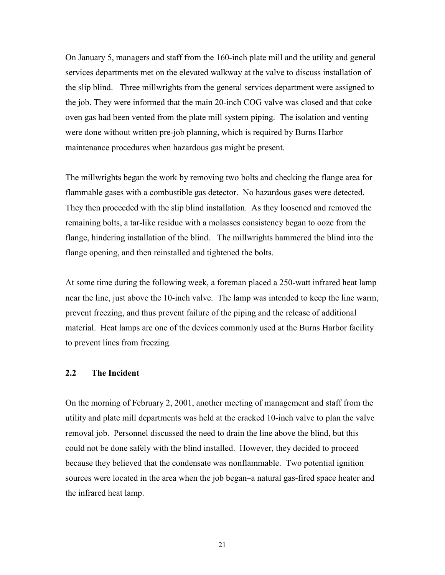On January 5, managers and staff from the 160-inch plate mill and the utility and general services departments met on the elevated walkway at the valve to discuss installation of the slip blind. Three millwrights from the general services department were assigned to the job. They were informed that the main 20-inch COG valve was closed and that coke oven gas had been vented from the plate mill system piping. The isolation and venting were done without written pre-job planning, which is required by Burns Harbor maintenance procedures when hazardous gas might be present.

The millwrights began the work by removing two bolts and checking the flange area for flammable gases with a combustible gas detector. No hazardous gases were detected. They then proceeded with the slip blind installation. As they loosened and removed the remaining bolts, a tar-like residue with a molasses consistency began to ooze from the flange, hindering installation of the blind. The millwrights hammered the blind into the flange opening, and then reinstalled and tightened the bolts.

At some time during the following week, a foreman placed a 250-watt infrared heat lamp near the line, just above the 10-inch valve. The lamp was intended to keep the line warm, prevent freezing, and thus prevent failure of the piping and the release of additional material. Heat lamps are one of the devices commonly used at the Burns Harbor facility to prevent lines from freezing.

#### **2.2 The Incident**

On the morning of February 2, 2001, another meeting of management and staff from the utility and plate mill departments was held at the cracked 10-inch valve to plan the valve removal job. Personnel discussed the need to drain the line above the blind, but this could not be done safely with the blind installed. However, they decided to proceed because they believed that the condensate was nonflammable. Two potential ignition sources were located in the area when the job began–a natural gas-fired space heater and the infrared heat lamp.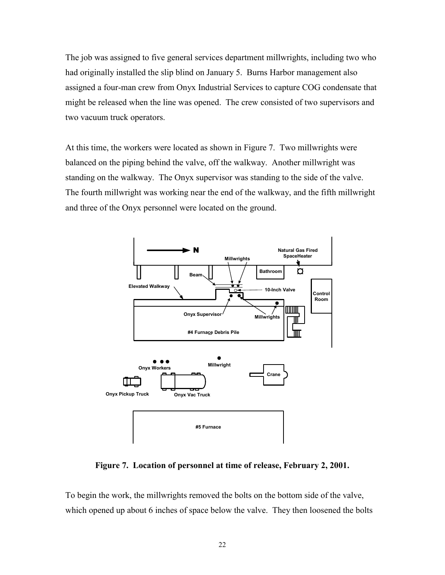The job was assigned to five general services department millwrights, including two who had originally installed the slip blind on January 5. Burns Harbor management also assigned a four-man crew from Onyx Industrial Services to capture COG condensate that might be released when the line was opened. The crew consisted of two supervisors and two vacuum truck operators.

At this time, the workers were located as shown in Figure 7. Two millwrights were balanced on the piping behind the valve, off the walkway. Another millwright was standing on the walkway. The Onyx supervisor was standing to the side of the valve. The fourth millwright was working near the end of the walkway, and the fifth millwright and three of the Onyx personnel were located on the ground.



**Figure 7. Location of personnel at time of release, February 2, 2001.**

To begin the work, the millwrights removed the bolts on the bottom side of the valve, which opened up about 6 inches of space below the valve. They then loosened the bolts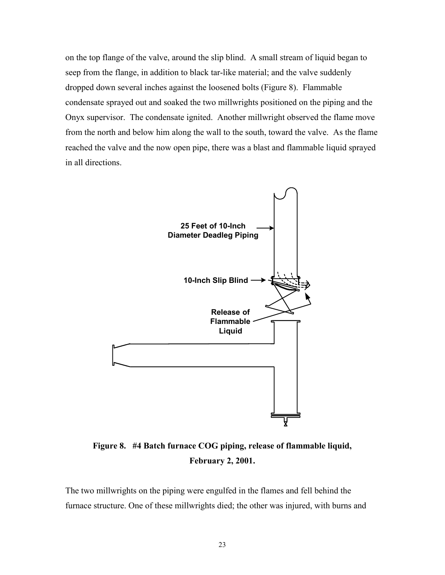on the top flange of the valve, around the slip blind. A small stream of liquid began to seep from the flange, in addition to black tar-like material; and the valve suddenly dropped down several inches against the loosened bolts (Figure 8). Flammable condensate sprayed out and soaked the two millwrights positioned on the piping and the Onyx supervisor. The condensate ignited. Another millwright observed the flame move from the north and below him along the wall to the south, toward the valve. As the flame reached the valve and the now open pipe, there was a blast and flammable liquid sprayed in all directions.



**Figure 8. #4 Batch furnace COG piping, release of flammable liquid, February 2, 2001.** 

The two millwrights on the piping were engulfed in the flames and fell behind the furnace structure. One of these millwrights died; the other was injured, with burns and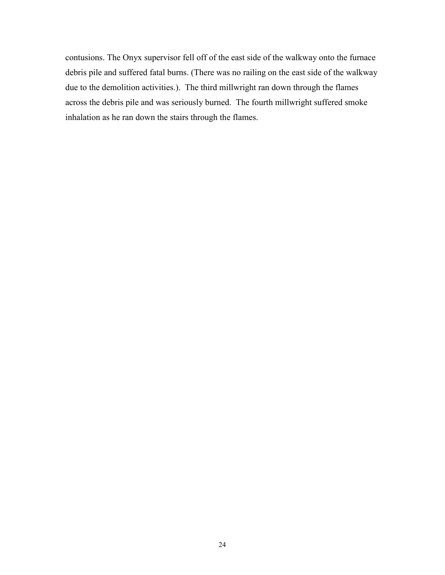contusions. The Onyx supervisor fell off of the east side of the walkway onto the furnace debris pile and suffered fatal burns. (There was no railing on the east side of the walkway due to the demolition activities.). The third millwright ran down through the flames across the debris pile and was seriously burned. The fourth millwright suffered smoke inhalation as he ran down the stairs through the flames.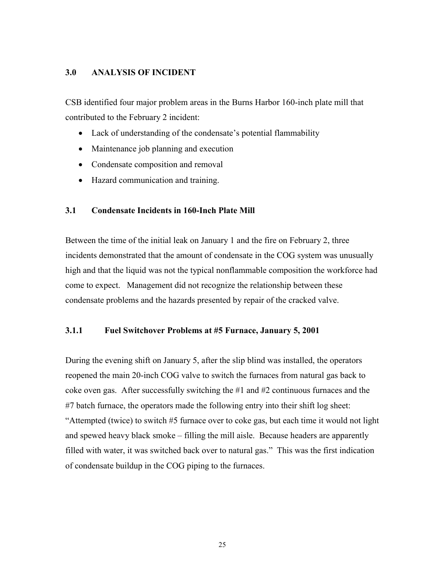#### **3.0 ANALYSIS OF INCIDENT**

CSB identified four major problem areas in the Burns Harbor 160-inch plate mill that contributed to the February 2 incident:

- Lack of understanding of the condensate's potential flammability
- Maintenance job planning and execution
- Condensate composition and removal
- Hazard communication and training.

#### **3.1 Condensate Incidents in 160-Inch Plate Mill**

Between the time of the initial leak on January 1 and the fire on February 2, three incidents demonstrated that the amount of condensate in the COG system was unusually high and that the liquid was not the typical nonflammable composition the workforce had come to expect. Management did not recognize the relationship between these condensate problems and the hazards presented by repair of the cracked valve.

#### **3.1.1 Fuel Switchover Problems at #5 Furnace, January 5, 2001**

During the evening shift on January 5, after the slip blind was installed, the operators reopened the main 20-inch COG valve to switch the furnaces from natural gas back to coke oven gas. After successfully switching the #1 and #2 continuous furnaces and the #7 batch furnace, the operators made the following entry into their shift log sheet: "Attempted (twice) to switch #5 furnace over to coke gas, but each time it would not light and spewed heavy black smoke – filling the mill aisle. Because headers are apparently filled with water, it was switched back over to natural gas." This was the first indication of condensate buildup in the COG piping to the furnaces.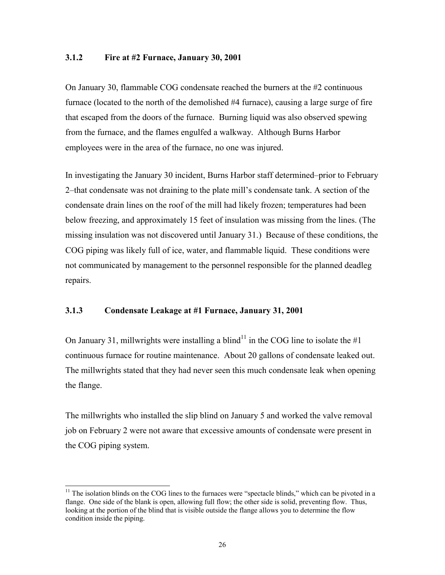#### **3.1.2 Fire at #2 Furnace, January 30, 2001**

On January 30, flammable COG condensate reached the burners at the #2 continuous furnace (located to the north of the demolished #4 furnace), causing a large surge of fire that escaped from the doors of the furnace. Burning liquid was also observed spewing from the furnace, and the flames engulfed a walkway. Although Burns Harbor employees were in the area of the furnace, no one was injured.

In investigating the January 30 incident, Burns Harbor staff determined–prior to February 2–that condensate was not draining to the plate mill's condensate tank. A section of the condensate drain lines on the roof of the mill had likely frozen; temperatures had been below freezing, and approximately 15 feet of insulation was missing from the lines. (The missing insulation was not discovered until January 31.) Because of these conditions, the COG piping was likely full of ice, water, and flammable liquid. These conditions were not communicated by management to the personnel responsible for the planned deadleg repairs.

#### **3.1.3 Condensate Leakage at #1 Furnace, January 31, 2001**

l

On January 31, millwrights were installing a blind<sup>11</sup> in the COG line to isolate the  $#1$ continuous furnace for routine maintenance. About 20 gallons of condensate leaked out. The millwrights stated that they had never seen this much condensate leak when opening the flange.

The millwrights who installed the slip blind on January 5 and worked the valve removal job on February 2 were not aware that excessive amounts of condensate were present in the COG piping system.

 $11$  The isolation blinds on the COG lines to the furnaces were "spectacle blinds," which can be pivoted in a flange. One side of the blank is open, allowing full flow; the other side is solid, preventing flow. Thus, looking at the portion of the blind that is visible outside the flange allows you to determine the flow condition inside the piping.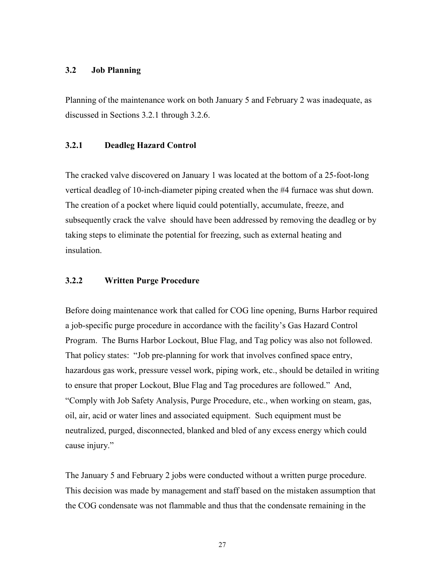#### **3.2 Job Planning**

Planning of the maintenance work on both January 5 and February 2 was inadequate, as discussed in Sections 3.2.1 through 3.2.6.

#### **3.2.1 Deadleg Hazard Control**

The cracked valve discovered on January 1 was located at the bottom of a 25-foot-long vertical deadleg of 10-inch-diameter piping created when the #4 furnace was shut down. The creation of a pocket where liquid could potentially, accumulate, freeze, and subsequently crack the valve should have been addressed by removing the deadleg or by taking steps to eliminate the potential for freezing, such as external heating and insulation.

#### **3.2.2 Written Purge Procedure**

Before doing maintenance work that called for COG line opening, Burns Harbor required a job-specific purge procedure in accordance with the facility's Gas Hazard Control Program. The Burns Harbor Lockout, Blue Flag, and Tag policy was also not followed. That policy states: "Job pre-planning for work that involves confined space entry, hazardous gas work, pressure vessel work, piping work, etc., should be detailed in writing to ensure that proper Lockout, Blue Flag and Tag procedures are followed." And, "Comply with Job Safety Analysis, Purge Procedure, etc., when working on steam, gas, oil, air, acid or water lines and associated equipment. Such equipment must be neutralized, purged, disconnected, blanked and bled of any excess energy which could cause injury."

The January 5 and February 2 jobs were conducted without a written purge procedure. This decision was made by management and staff based on the mistaken assumption that the COG condensate was not flammable and thus that the condensate remaining in the

27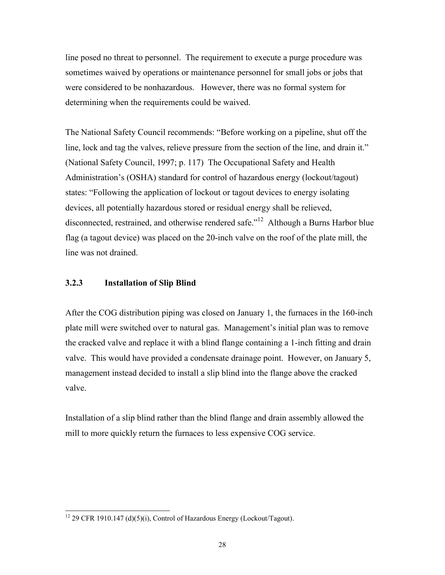line posed no threat to personnel. The requirement to execute a purge procedure was sometimes waived by operations or maintenance personnel for small jobs or jobs that were considered to be nonhazardous. However, there was no formal system for determining when the requirements could be waived.

The National Safety Council recommends: "Before working on a pipeline, shut off the line, lock and tag the valves, relieve pressure from the section of the line, and drain it." (National Safety Council, 1997; p. 117) The Occupational Safety and Health Administration's (OSHA) standard for control of hazardous energy (lockout/tagout) states: "Following the application of lockout or tagout devices to energy isolating devices, all potentially hazardous stored or residual energy shall be relieved, disconnected, restrained, and otherwise rendered safe."<sup>12</sup> Although a Burns Harbor blue flag (a tagout device) was placed on the 20-inch valve on the roof of the plate mill, the line was not drained.

#### **3.2.3 Installation of Slip Blind**

 $\overline{a}$ 

After the COG distribution piping was closed on January 1, the furnaces in the 160-inch plate mill were switched over to natural gas. Management's initial plan was to remove the cracked valve and replace it with a blind flange containing a 1-inch fitting and drain valve. This would have provided a condensate drainage point. However, on January 5, management instead decided to install a slip blind into the flange above the cracked valve.

Installation of a slip blind rather than the blind flange and drain assembly allowed the mill to more quickly return the furnaces to less expensive COG service.

 $12$  29 CFR 1910.147 (d)(5)(i), Control of Hazardous Energy (Lockout/Tagout).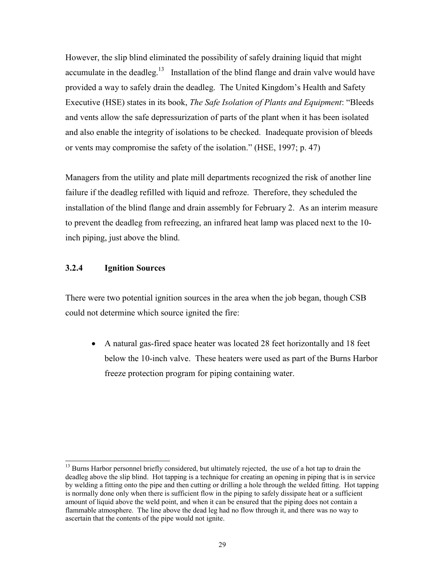However, the slip blind eliminated the possibility of safely draining liquid that might accumulate in the deadleg.<sup>13</sup> Installation of the blind flange and drain valve would have provided a way to safely drain the deadleg. The United Kingdom's Health and Safety Executive (HSE) states in its book, *The Safe Isolation of Plants and Equipment*: "Bleeds and vents allow the safe depressurization of parts of the plant when it has been isolated and also enable the integrity of isolations to be checked. Inadequate provision of bleeds or vents may compromise the safety of the isolation." (HSE, 1997; p. 47)

Managers from the utility and plate mill departments recognized the risk of another line failure if the deadleg refilled with liquid and refroze. Therefore, they scheduled the installation of the blind flange and drain assembly for February 2. As an interim measure to prevent the deadleg from refreezing, an infrared heat lamp was placed next to the 10 inch piping, just above the blind.

#### **3.2.4 Ignition Sources**

 $\overline{a}$ 

There were two potential ignition sources in the area when the job began, though CSB could not determine which source ignited the fire:

 $\bullet$  A natural gas-fired space heater was located 28 feet horizontally and 18 feet below the 10-inch valve. These heaters were used as part of the Burns Harbor freeze protection program for piping containing water.

<sup>&</sup>lt;sup>13</sup> Burns Harbor personnel briefly considered, but ultimately rejected, the use of a hot tap to drain the deadleg above the slip blind. Hot tapping is a technique for creating an opening in piping that is in service by welding a fitting onto the pipe and then cutting or drilling a hole through the welded fitting. Hot tapping is normally done only when there is sufficient flow in the piping to safely dissipate heat or a sufficient amount of liquid above the weld point, and when it can be ensured that the piping does not contain a flammable atmosphere. The line above the dead leg had no flow through it, and there was no way to ascertain that the contents of the pipe would not ignite.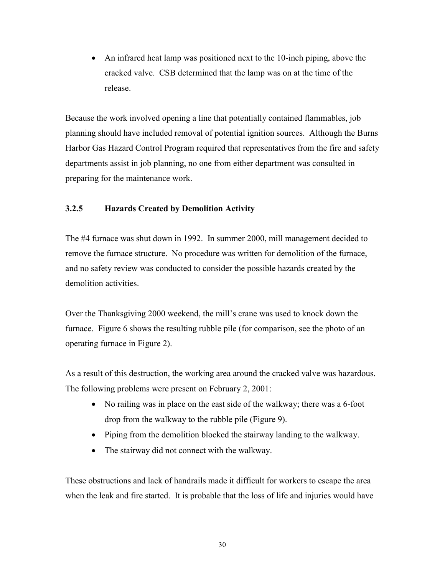• An infrared heat lamp was positioned next to the 10-inch piping, above the cracked valve. CSB determined that the lamp was on at the time of the release.

Because the work involved opening a line that potentially contained flammables, job planning should have included removal of potential ignition sources. Although the Burns Harbor Gas Hazard Control Program required that representatives from the fire and safety departments assist in job planning, no one from either department was consulted in preparing for the maintenance work.

#### **3.2.5 Hazards Created by Demolition Activity**

The #4 furnace was shut down in 1992. In summer 2000, mill management decided to remove the furnace structure. No procedure was written for demolition of the furnace, and no safety review was conducted to consider the possible hazards created by the demolition activities.

Over the Thanksgiving 2000 weekend, the mill's crane was used to knock down the furnace. Figure 6 shows the resulting rubble pile (for comparison, see the photo of an operating furnace in Figure 2).

As a result of this destruction, the working area around the cracked valve was hazardous. The following problems were present on February 2, 2001:

- No railing was in place on the east side of the walkway; there was a 6-foot drop from the walkway to the rubble pile (Figure 9).
- Piping from the demolition blocked the stairway landing to the walkway.
- The stairway did not connect with the walkway.

These obstructions and lack of handrails made it difficult for workers to escape the area when the leak and fire started. It is probable that the loss of life and injuries would have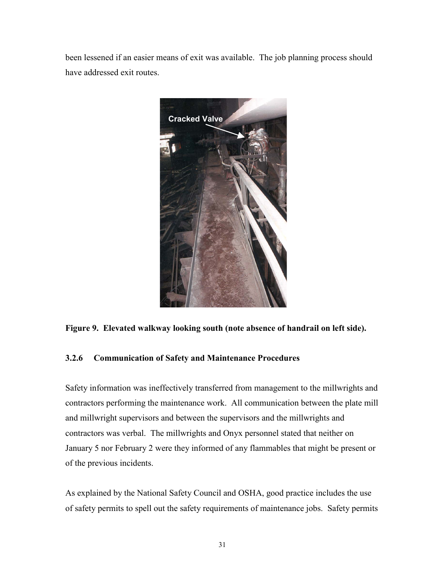been lessened if an easier means of exit was available. The job planning process should have addressed exit routes.



#### **Figure 9. Elevated walkway looking south (note absence of handrail on left side).**

#### **3.2.6 Communication of Safety and Maintenance Procedures**

Safety information was ineffectively transferred from management to the millwrights and contractors performing the maintenance work. All communication between the plate mill and millwright supervisors and between the supervisors and the millwrights and contractors was verbal. The millwrights and Onyx personnel stated that neither on January 5 nor February 2 were they informed of any flammables that might be present or of the previous incidents.

As explained by the National Safety Council and OSHA, good practice includes the use of safety permits to spell out the safety requirements of maintenance jobs. Safety permits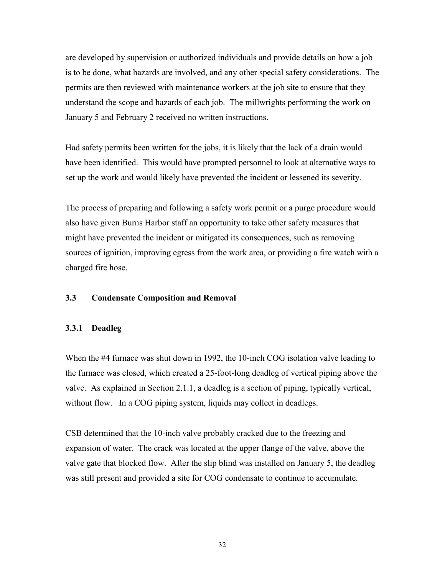are developed by supervision or authorized individuals and provide details on how a job is to be done, what hazards are involved, and any other special safety considerations. The permits are then reviewed with maintenance workers at the job site to ensure that they understand the scope and hazards of each job. The millwrights performing the work on January 5 and February 2 received no written instructions.

Had safety permits been written for the jobs, it is likely that the lack of a drain would have been identified. This would have prompted personnel to look at alternative ways to set up the work and would likely have prevented the incident or lessened its severity.

The process of preparing and following a safety work permit or a purge procedure would also have given Burns Harbor staff an opportunity to take other safety measures that might have prevented the incident or mitigated its consequences, such as removing sources of ignition, improving egress from the work area, or providing a fire watch with a charged fire hose.

#### **3.3 Condensate Composition and Removal**

#### **3.3.1 Deadleg**

When the #4 furnace was shut down in 1992, the 10-inch COG isolation valve leading to the furnace was closed, which created a 25-foot-long deadleg of vertical piping above the valve. As explained in Section 2.1.1, a deadleg is a section of piping, typically vertical, without flow. In a COG piping system, liquids may collect in deadlegs.

CSB determined that the 10-inch valve probably cracked due to the freezing and expansion of water. The crack was located at the upper flange of the valve, above the valve gate that blocked flow. After the slip blind was installed on January 5, the deadleg was still present and provided a site for COG condensate to continue to accumulate.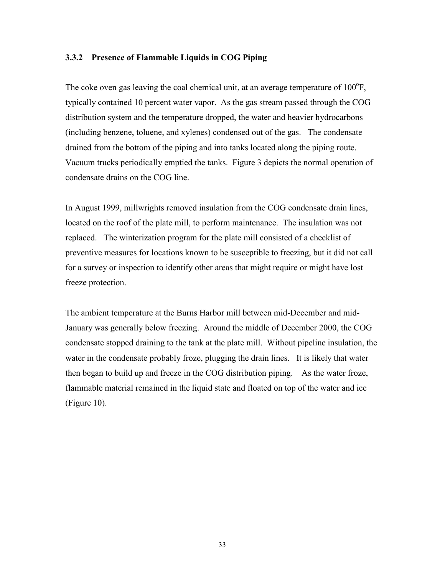#### **3.3.2 Presence of Flammable Liquids in COG Piping**

The coke oven gas leaving the coal chemical unit, at an average temperature of  $100^{\circ}$ F, typically contained 10 percent water vapor. As the gas stream passed through the COG distribution system and the temperature dropped, the water and heavier hydrocarbons (including benzene, toluene, and xylenes) condensed out of the gas. The condensate drained from the bottom of the piping and into tanks located along the piping route. Vacuum trucks periodically emptied the tanks. Figure 3 depicts the normal operation of condensate drains on the COG line.

In August 1999, millwrights removed insulation from the COG condensate drain lines, located on the roof of the plate mill, to perform maintenance. The insulation was not replaced. The winterization program for the plate mill consisted of a checklist of preventive measures for locations known to be susceptible to freezing, but it did not call for a survey or inspection to identify other areas that might require or might have lost freeze protection.

The ambient temperature at the Burns Harbor mill between mid-December and mid-January was generally below freezing. Around the middle of December 2000, the COG condensate stopped draining to the tank at the plate mill. Without pipeline insulation, the water in the condensate probably froze, plugging the drain lines. It is likely that water then began to build up and freeze in the COG distribution piping. As the water froze, flammable material remained in the liquid state and floated on top of the water and ice (Figure 10).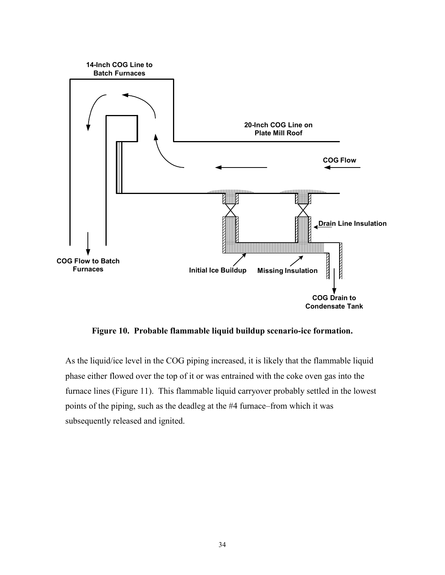

**Figure 10. Probable flammable liquid buildup scenario-ice formation.** 

As the liquid/ice level in the COG piping increased, it is likely that the flammable liquid phase either flowed over the top of it or was entrained with the coke oven gas into the furnace lines (Figure 11). This flammable liquid carryover probably settled in the lowest points of the piping, such as the deadleg at the #4 furnace–from which it was subsequently released and ignited.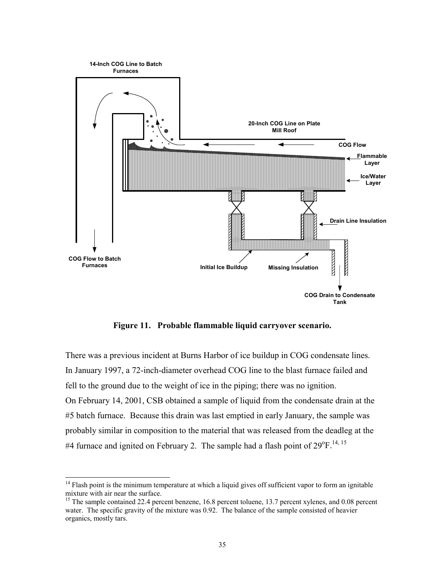

**Figure 11. Probable flammable liquid carryover scenario.** 

There was a previous incident at Burns Harbor of ice buildup in COG condensate lines. In January 1997, a 72-inch-diameter overhead COG line to the blast furnace failed and fell to the ground due to the weight of ice in the piping; there was no ignition. On February 14, 2001, CSB obtained a sample of liquid from the condensate drain at the #5 batch furnace. Because this drain was last emptied in early January, the sample was probably similar in composition to the material that was released from the deadleg at the #4 furnace and ignited on February 2. The sample had a flash point of  $29^{\circ}$ F.<sup>14, 15</sup>

 $\overline{\phantom{a}}$ 

 $14$  Flash point is the minimum temperature at which a liquid gives off sufficient vapor to form an ignitable mixture with air near the surface.

<sup>&</sup>lt;sup>15</sup> The sample contained 22.4 percent benzene, 16.8 percent toluene, 13.7 percent xylenes, and 0.08 percent water. The specific gravity of the mixture was 0.92. The balance of the sample consisted of heavier organics, mostly tars.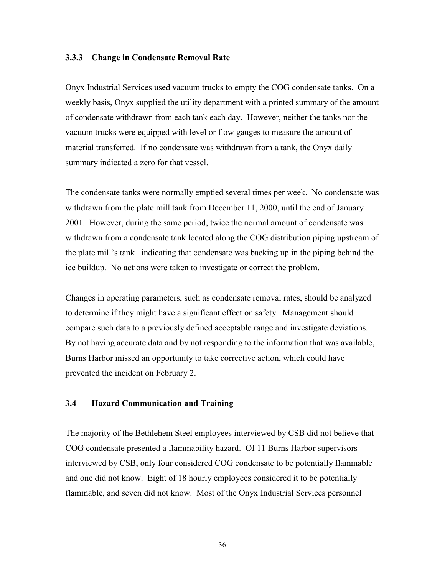#### **3.3.3 Change in Condensate Removal Rate**

Onyx Industrial Services used vacuum trucks to empty the COG condensate tanks. On a weekly basis, Onyx supplied the utility department with a printed summary of the amount of condensate withdrawn from each tank each day. However, neither the tanks nor the vacuum trucks were equipped with level or flow gauges to measure the amount of material transferred. If no condensate was withdrawn from a tank, the Onyx daily summary indicated a zero for that vessel.

The condensate tanks were normally emptied several times per week. No condensate was withdrawn from the plate mill tank from December 11, 2000, until the end of January 2001. However, during the same period, twice the normal amount of condensate was withdrawn from a condensate tank located along the COG distribution piping upstream of the plate mill's tank– indicating that condensate was backing up in the piping behind the ice buildup. No actions were taken to investigate or correct the problem.

Changes in operating parameters, such as condensate removal rates, should be analyzed to determine if they might have a significant effect on safety. Management should compare such data to a previously defined acceptable range and investigate deviations. By not having accurate data and by not responding to the information that was available, Burns Harbor missed an opportunity to take corrective action, which could have prevented the incident on February 2.

#### **3.4 Hazard Communication and Training**

The majority of the Bethlehem Steel employees interviewed by CSB did not believe that COG condensate presented a flammability hazard. Of 11 Burns Harbor supervisors interviewed by CSB, only four considered COG condensate to be potentially flammable and one did not know. Eight of 18 hourly employees considered it to be potentially flammable, and seven did not know. Most of the Onyx Industrial Services personnel

36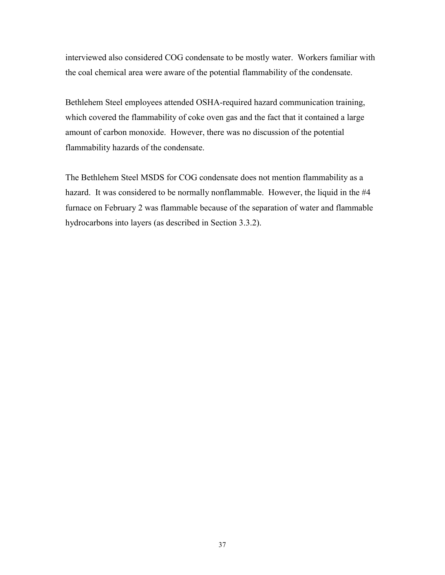interviewed also considered COG condensate to be mostly water. Workers familiar with the coal chemical area were aware of the potential flammability of the condensate.

Bethlehem Steel employees attended OSHA-required hazard communication training, which covered the flammability of coke oven gas and the fact that it contained a large amount of carbon monoxide. However, there was no discussion of the potential flammability hazards of the condensate.

The Bethlehem Steel MSDS for COG condensate does not mention flammability as a hazard. It was considered to be normally nonflammable. However, the liquid in the #4 furnace on February 2 was flammable because of the separation of water and flammable hydrocarbons into layers (as described in Section 3.3.2).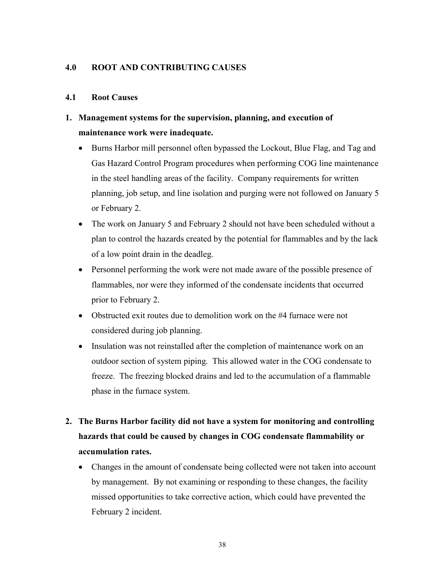#### **4.0 ROOT AND CONTRIBUTING CAUSES**

#### **4.1 Root Causes**

## **1. Management systems for the supervision, planning, and execution of maintenance work were inadequate.**

- Burns Harbor mill personnel often bypassed the Lockout, Blue Flag, and Tag and Gas Hazard Control Program procedures when performing COG line maintenance in the steel handling areas of the facility. Company requirements for written planning, job setup, and line isolation and purging were not followed on January 5 or February 2.
- The work on January 5 and February 2 should not have been scheduled without a plan to control the hazards created by the potential for flammables and by the lack of a low point drain in the deadleg.
- Personnel performing the work were not made aware of the possible presence of flammables, nor were they informed of the condensate incidents that occurred prior to February 2.
- Obstructed exit routes due to demolition work on the #4 furnace were not considered during job planning.
- $\bullet$  Insulation was not reinstalled after the completion of maintenance work on an outdoor section of system piping. This allowed water in the COG condensate to freeze. The freezing blocked drains and led to the accumulation of a flammable phase in the furnace system.

## **2. The Burns Harbor facility did not have a system for monitoring and controlling hazards that could be caused by changes in COG condensate flammability or accumulation rates.**

- Changes in the amount of condensate being collected were not taken into account by management. By not examining or responding to these changes, the facility missed opportunities to take corrective action, which could have prevented the February 2 incident.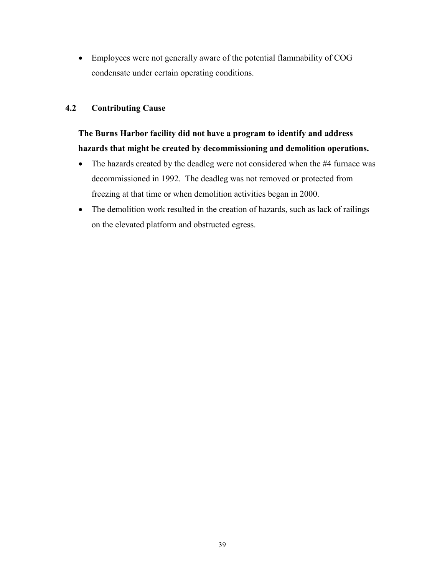- Employees were not generally aware of the potential flammability of COG condensate under certain operating conditions.

#### **4.2 Contributing Cause**

## **The Burns Harbor facility did not have a program to identify and address hazards that might be created by decommissioning and demolition operations.**

- The hazards created by the deadleg were not considered when the #4 furnace was decommissioned in 1992. The deadleg was not removed or protected from freezing at that time or when demolition activities began in 2000.
- The demolition work resulted in the creation of hazards, such as lack of railings on the elevated platform and obstructed egress.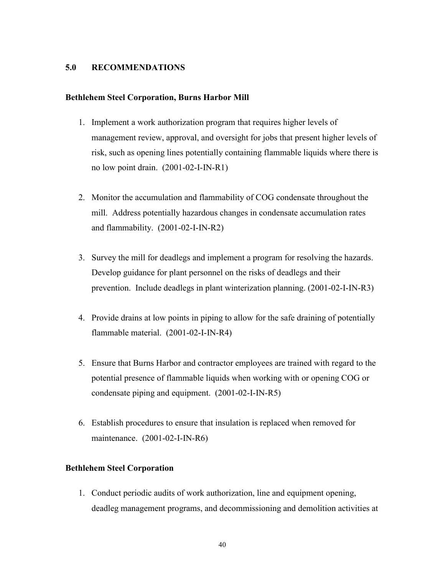#### **5.0 RECOMMENDATIONS**

#### **Bethlehem Steel Corporation, Burns Harbor Mill**

- 1. Implement a work authorization program that requires higher levels of management review, approval, and oversight for jobs that present higher levels of risk, such as opening lines potentially containing flammable liquids where there is no low point drain. (2001-02-I-IN-R1)
- 2. Monitor the accumulation and flammability of COG condensate throughout the mill. Address potentially hazardous changes in condensate accumulation rates and flammability. (2001-02-I-IN-R2)
- 3. Survey the mill for deadlegs and implement a program for resolving the hazards. Develop guidance for plant personnel on the risks of deadlegs and their prevention. Include deadlegs in plant winterization planning. (2001-02-I-IN-R3)
- 4. Provide drains at low points in piping to allow for the safe draining of potentially flammable material. (2001-02-I-IN-R4)
- 5. Ensure that Burns Harbor and contractor employees are trained with regard to the potential presence of flammable liquids when working with or opening COG or condensate piping and equipment. (2001-02-I-IN-R5)
- 6. Establish procedures to ensure that insulation is replaced when removed for maintenance. (2001-02-I-IN-R6)

#### **Bethlehem Steel Corporation**

1. Conduct periodic audits of work authorization, line and equipment opening, deadleg management programs, and decommissioning and demolition activities at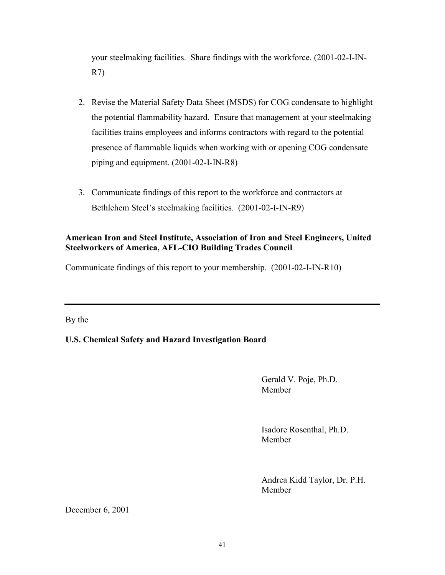your steelmaking facilities. Share findings with the workforce. (2001-02-I-IN-R7)

- 2. Revise the Material Safety Data Sheet (MSDS) for COG condensate to highlight the potential flammability hazard. Ensure that management at your steelmaking facilities trains employees and informs contractors with regard to the potential presence of flammable liquids when working with or opening COG condensate piping and equipment. (2001-02-I-IN-R8)
- 3. Communicate findings of this report to the workforce and contractors at Bethlehem Steel's steelmaking facilities. (2001-02-I-IN-R9)

#### **American Iron and Steel Institute, Association of Iron and Steel Engineers, United Steelworkers of America, AFL-CIO Building Trades Council**

Communicate findings of this report to your membership. (2001-02-I-IN-R10)

By the

#### **U.S. Chemical Safety and Hazard Investigation Board**

Gerald V. Poje, Ph.D. Member

Isadore Rosenthal, Ph.D. Member

Andrea Kidd Taylor, Dr. P.H. Member

December 6, 2001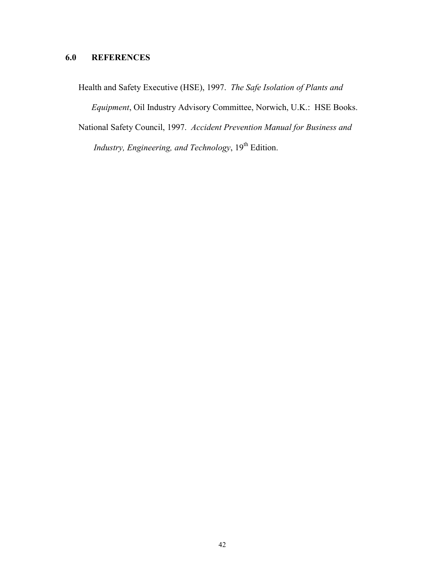## **6.0 REFERENCES**

Health and Safety Executive (HSE), 1997. *The Safe Isolation of Plants and Equipment*, Oil Industry Advisory Committee, Norwich, U.K.: HSE Books. National Safety Council, 1997. *Accident Prevention Manual for Business and Industry, Engineering, and Technology*, 19<sup>th</sup> Edition.